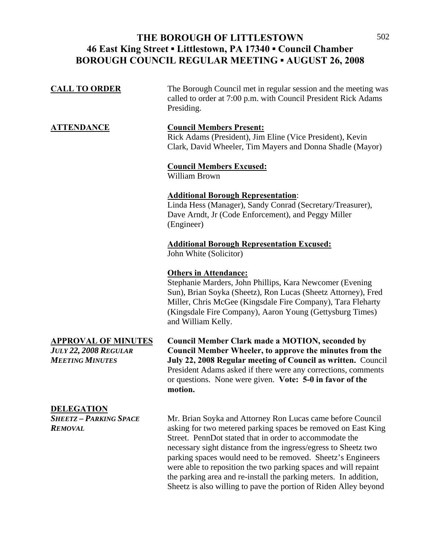#### THE BOROUGH OF LITTLESTOWN 502 **46 East King Street ▪ Littlestown, PA 17340 ▪ Council Chamber BOROUGH COUNCIL REGULAR MEETING ▪ AUGUST 26, 2008**

| <b>APPROVAL OF MINUTES</b><br>July 22, 2008 Regular | <b>Council Member Clark made a MOTION, seconded by</b><br><b>Council Member Wheeler, to approve the minutes from the</b>                                                                                                                                                                                    |
|-----------------------------------------------------|-------------------------------------------------------------------------------------------------------------------------------------------------------------------------------------------------------------------------------------------------------------------------------------------------------------|
|                                                     | <b>Others in Attendance:</b><br>Stephanie Marders, John Phillips, Kara Newcomer (Evening)<br>Sun), Brian Soyka (Sheetz), Ron Lucas (Sheetz Attorney), Fred<br>Miller, Chris McGee (Kingsdale Fire Company), Tara Fleharty<br>(Kingsdale Fire Company), Aaron Young (Gettysburg Times)<br>and William Kelly. |
|                                                     | <b>Additional Borough Representation Excused:</b><br>John White (Solicitor)                                                                                                                                                                                                                                 |
|                                                     | <b>Additional Borough Representation:</b><br>Linda Hess (Manager), Sandy Conrad (Secretary/Treasurer),<br>Dave Arndt, Jr (Code Enforcement), and Peggy Miller<br>(Engineer)                                                                                                                                 |
|                                                     | <b>Council Members Excused:</b><br>William Brown                                                                                                                                                                                                                                                            |
| <u>ATTENDANCE</u>                                   | <b>Council Members Present:</b><br>Rick Adams (President), Jim Eline (Vice President), Kevin<br>Clark, David Wheeler, Tim Mayers and Donna Shadle (Mayor)                                                                                                                                                   |
| <b>CALL TO ORDER</b>                                | The Borough Council met in regular session and the meeting was<br>called to order at 7:00 p.m. with Council President Rick Adams<br>Presiding.                                                                                                                                                              |

**DELEGATION**

*MEETING MINUTES* **July 22, 2008 Regular meeting of Council as written.** Council President Adams asked if there were any corrections, comments or questions. None were given. **Vote: 5-0 in favor of the motion.** 

*SHEETZ – PARKING SPACE* Mr. Brian Soyka and Attorney Ron Lucas came before Council *REMOVAL* asking for two metered parking spaces be removed on East King Street. PennDot stated that in order to accommodate the necessary sight distance from the ingress/egress to Sheetz two parking spaces would need to be removed. Sheetz's Engineers were able to reposition the two parking spaces and will repaint the parking area and re-install the parking meters. In addition, Sheetz is also willing to pave the portion of Riden Alley beyond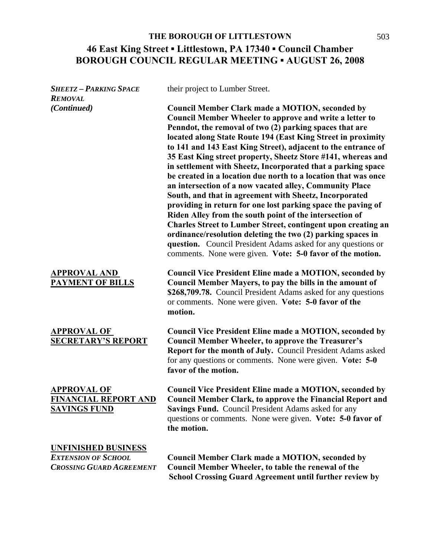# **46 East King Street ▪ Littlestown, PA 17340 ▪ Council Chamber BOROUGH COUNCIL REGULAR MEETING ▪ AUGUST 26, 2008 THE BOROUGH OF LITTLESTOWN** 503

| <b>SHEETZ - PARKING SPACE</b><br><b>REMOVAL</b>                          | their project to Lumber Street.                                                                                                                                                                                                                                                                                                                                                                                                                                                                                                                                                                                                                                                                                                                                                                                                                                                                                                                                                                                                           |
|--------------------------------------------------------------------------|-------------------------------------------------------------------------------------------------------------------------------------------------------------------------------------------------------------------------------------------------------------------------------------------------------------------------------------------------------------------------------------------------------------------------------------------------------------------------------------------------------------------------------------------------------------------------------------------------------------------------------------------------------------------------------------------------------------------------------------------------------------------------------------------------------------------------------------------------------------------------------------------------------------------------------------------------------------------------------------------------------------------------------------------|
| (Continued)                                                              | <b>Council Member Clark made a MOTION, seconded by</b><br><b>Council Member Wheeler to approve and write a letter to</b><br>Penndot, the removal of two (2) parking spaces that are<br>located along State Route 194 (East King Street in proximity<br>to 141 and 143 East King Street), adjacent to the entrance of<br>35 East King street property, Sheetz Store #141, whereas and<br>in settlement with Sheetz, Incorporated that a parking space<br>be created in a location due north to a location that was once<br>an intersection of a now vacated alley, Community Place<br>South, and that in agreement with Sheetz, Incorporated<br>providing in return for one lost parking space the paving of<br>Riden Alley from the south point of the intersection of<br><b>Charles Street to Lumber Street, contingent upon creating an</b><br>ordinance/resolution deleting the two (2) parking spaces in<br>question. Council President Adams asked for any questions or<br>comments. None were given. Vote: 5-0 favor of the motion. |
| <b>APPROVAL AND</b><br><b>PAYMENT OF BILLS</b>                           | <b>Council Vice President Eline made a MOTION, seconded by</b><br>Council Member Mayers, to pay the bills in the amount of<br>\$268,709.78. Council President Adams asked for any questions<br>or comments. None were given. Vote: 5-0 favor of the<br>motion.                                                                                                                                                                                                                                                                                                                                                                                                                                                                                                                                                                                                                                                                                                                                                                            |
| <b>APPROVAL OF</b><br><b>SECRETARY'S REPORT</b>                          | <b>Council Vice President Eline made a MOTION, seconded by</b><br><b>Council Member Wheeler, to approve the Treasurer's</b><br><b>Report for the month of July.</b> Council President Adams asked<br>for any questions or comments. None were given. Vote: 5-0<br>favor of the motion.                                                                                                                                                                                                                                                                                                                                                                                                                                                                                                                                                                                                                                                                                                                                                    |
| <b>APPROVAL OF</b><br><b>FINANCIAL REPORT AND</b><br><b>SAVINGS FUND</b> | <b>Council Vice President Eline made a MOTION, seconded by</b><br><b>Council Member Clark, to approve the Financial Report and</b><br>Savings Fund. Council President Adams asked for any<br>questions or comments. None were given. Vote: 5-0 favor of<br>the motion.                                                                                                                                                                                                                                                                                                                                                                                                                                                                                                                                                                                                                                                                                                                                                                    |
| <b>UNFINISHED BUSINESS</b><br><b>EXTENSION OF SCHOOL</b>                 | <b>Council Member Clark made a MOTION, seconded by</b>                                                                                                                                                                                                                                                                                                                                                                                                                                                                                                                                                                                                                                                                                                                                                                                                                                                                                                                                                                                    |
| <b>CROSSING GUARD AGREEMENT</b>                                          | Council Member Wheeler, to table the renewal of the<br><b>School Crossing Guard Agreement until further review by</b>                                                                                                                                                                                                                                                                                                                                                                                                                                                                                                                                                                                                                                                                                                                                                                                                                                                                                                                     |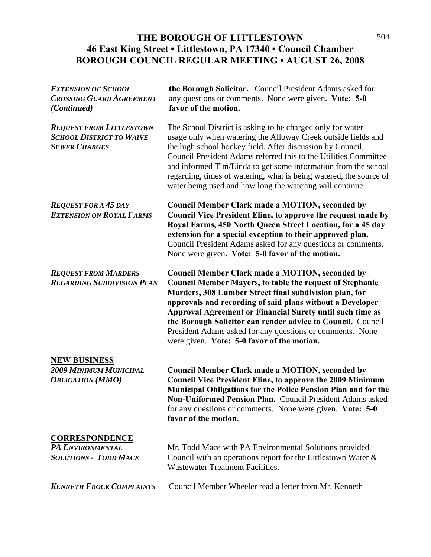### THE BOROUGH OF LITTLESTOWN 504 **46 East King Street ▪ Littlestown, PA 17340 ▪ Council Chamber BOROUGH COUNCIL REGULAR MEETING ▪ AUGUST 26, 2008**

| <b>EXTENSION OF SCHOOL</b><br><b>CROSSING GUARD AGREEMENT</b><br>(Continued)               | the Borough Solicitor. Council President Adams asked for<br>any questions or comments. None were given. Vote: 5-0<br>favor of the motion.                                                                                                                                                                                                                                                                                                                                                      |
|--------------------------------------------------------------------------------------------|------------------------------------------------------------------------------------------------------------------------------------------------------------------------------------------------------------------------------------------------------------------------------------------------------------------------------------------------------------------------------------------------------------------------------------------------------------------------------------------------|
| <b>REQUEST FROM LITTLESTOWN</b><br><b>SCHOOL DISTRICT TO WAIVE</b><br><b>SEWER CHARGES</b> | The School District is asking to be charged only for water<br>usage only when watering the Alloway Creek outside fields and<br>the high school hockey field. After discussion by Council,<br>Council President Adams referred this to the Utilities Committee<br>and informed Tim/Linda to get some information from the school<br>regarding, times of watering, what is being watered, the source of<br>water being used and how long the watering will continue.                             |
| <b>REQUEST FOR A 45 DAY</b><br><b>EXTENSION ON ROYAL FARMS</b>                             | <b>Council Member Clark made a MOTION, seconded by</b><br><b>Council Vice President Eline, to approve the request made by</b><br>Royal Farms, 450 North Queen Street Location, for a 45 day<br>extension for a special exception to their approved plan.<br>Council President Adams asked for any questions or comments.<br>None were given. Vote: 5-0 favor of the motion.                                                                                                                    |
| <b>REQUEST FROM MARDERS</b><br><b>REGARDING SUBDIVISION PLAN</b>                           | <b>Council Member Clark made a MOTION, seconded by</b><br><b>Council Member Mayers, to table the request of Stephanie</b><br>Marders, 308 Lumber Street final subdivision plan, for<br>approvals and recording of said plans without a Developer<br><b>Approval Agreement or Financial Surety until such time as</b><br>the Borough Solicitor can render advice to Council. Council<br>President Adams asked for any questions or comments. None<br>were given. Vote: 5-0 favor of the motion. |
| <b>NEW BUSINESS</b><br><b>2009 MINIMUM MUNICIPAL</b><br><b>OBLIGATION</b> (MMO)            | <b>Council Member Clark made a MOTION, seconded by</b><br><b>Council Vice President Eline, to approve the 2009 Minimum</b><br><b>Municipal Obligations for the Police Pension Plan and for the</b><br>Non-Uniformed Pension Plan. Council President Adams asked<br>for any questions or comments. None were given. Vote: 5-0<br>favor of the motion.                                                                                                                                           |
| <b>CORRESPONDENCE</b><br>PA ENVIRONMENTAL<br><b>SOLUTIONS - TODD MACE</b>                  | Mr. Todd Mace with PA Environmental Solutions provided<br>Council with an operations report for the Littlestown Water $\&$<br><b>Wastewater Treatment Facilities.</b>                                                                                                                                                                                                                                                                                                                          |
| <b>KENNETH FROCK COMPLAINTS</b>                                                            | Council Member Wheeler read a letter from Mr. Kenneth                                                                                                                                                                                                                                                                                                                                                                                                                                          |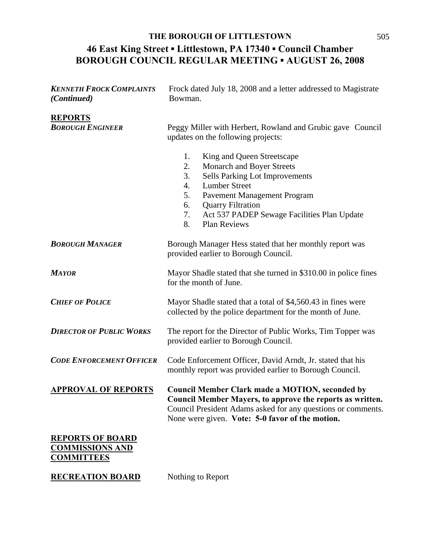## **46 East King Street ▪ Littlestown, PA 17340 ▪ Council Chamber BOROUGH COUNCIL REGULAR MEETING ▪ AUGUST 26, 2008 THE BOROUGH OF LITTLESTOWN** 505

| <b>KENNETH FROCK COMPLAINTS</b><br>(Continued)                         | Frock dated July 18, 2008 and a letter addressed to Magistrate<br>Bowman.                                                                                                                                                                                                                                        |
|------------------------------------------------------------------------|------------------------------------------------------------------------------------------------------------------------------------------------------------------------------------------------------------------------------------------------------------------------------------------------------------------|
| <b>REPORTS</b><br><b>BOROUGH ENGINEER</b>                              | Peggy Miller with Herbert, Rowland and Grubic gave Council<br>updates on the following projects:                                                                                                                                                                                                                 |
|                                                                        | King and Queen Streetscape<br>1.<br><b>Monarch and Boyer Streets</b><br>2.<br><b>Sells Parking Lot Improvements</b><br>3.<br>4.<br><b>Lumber Street</b><br>5.<br>Pavement Management Program<br><b>Quarry Filtration</b><br>6.<br>7.<br>Act 537 PADEP Sewage Facilities Plan Update<br><b>Plan Reviews</b><br>8. |
| <b>BOROUGH MANAGER</b>                                                 | Borough Manager Hess stated that her monthly report was<br>provided earlier to Borough Council.                                                                                                                                                                                                                  |
| <b>MAYOR</b>                                                           | Mayor Shadle stated that she turned in \$310.00 in police fines<br>for the month of June.                                                                                                                                                                                                                        |
| <b>CHIEF OF POLICE</b>                                                 | Mayor Shadle stated that a total of \$4,560.43 in fines were<br>collected by the police department for the month of June.                                                                                                                                                                                        |
| <b>DIRECTOR OF PUBLIC WORKS</b>                                        | The report for the Director of Public Works, Tim Topper was<br>provided earlier to Borough Council.                                                                                                                                                                                                              |
| <b>CODE ENFORCEMENT OFFICER</b>                                        | Code Enforcement Officer, David Arndt, Jr. stated that his<br>monthly report was provided earlier to Borough Council.                                                                                                                                                                                            |
| <b>APPROVAL OF REPORTS</b>                                             | <b>Council Member Clark made a MOTION, seconded by</b><br><b>Council Member Mayers, to approve the reports as written.</b><br>Council President Adams asked for any questions or comments.<br>None were given. Vote: 5-0 favor of the motion.                                                                    |
| <b>REPORTS OF BOARD</b><br><b>COMMISSIONS AND</b><br><b>COMMITTEES</b> |                                                                                                                                                                                                                                                                                                                  |
| <b>RECREATION BOARD</b>                                                | Nothing to Report                                                                                                                                                                                                                                                                                                |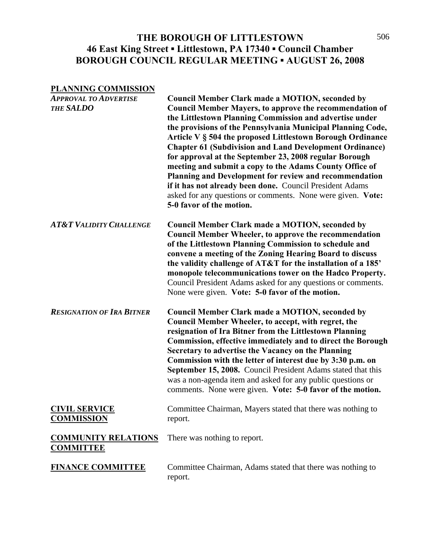### THE BOROUGH OF LITTLESTOWN 506 **46 East King Street ▪ Littlestown, PA 17340 ▪ Council Chamber BOROUGH COUNCIL REGULAR MEETING ▪ AUGUST 26, 2008**

#### **PLANNING COMMISSION**

| <b>APPROVAL TO ADVERTISE</b><br><b>THE SALDO</b> | <b>Council Member Clark made a MOTION, seconded by</b><br><b>Council Member Mayers, to approve the recommendation of</b><br>the Littlestown Planning Commission and advertise under<br>the provisions of the Pennsylvania Municipal Planning Code,<br>Article V § 504 the proposed Littlestown Borough Ordinance<br><b>Chapter 61 (Subdivision and Land Development Ordinance)</b><br>for approval at the September 23, 2008 regular Borough<br>meeting and submit a copy to the Adams County Office of<br>Planning and Development for review and recommendation<br>if it has not already been done. Council President Adams<br>asked for any questions or comments. None were given. Vote:<br>5-0 favor of the motion. |
|--------------------------------------------------|--------------------------------------------------------------------------------------------------------------------------------------------------------------------------------------------------------------------------------------------------------------------------------------------------------------------------------------------------------------------------------------------------------------------------------------------------------------------------------------------------------------------------------------------------------------------------------------------------------------------------------------------------------------------------------------------------------------------------|
| <b>AT&amp;T VALIDITY CHALLENGE</b>               | Council Member Clark made a MOTION, seconded by<br><b>Council Member Wheeler, to approve the recommendation</b><br>of the Littlestown Planning Commission to schedule and<br>convene a meeting of the Zoning Hearing Board to discuss<br>the validity challenge of AT&T for the installation of a 185'<br>monopole telecommunications tower on the Hadco Property.<br>Council President Adams asked for any questions or comments.<br>None were given. Vote: 5-0 favor of the motion.                                                                                                                                                                                                                                    |
| <b>RESIGNATION OF IRA BITNER</b>                 | <b>Council Member Clark made a MOTION, seconded by</b><br>Council Member Wheeler, to accept, with regret, the<br>resignation of Ira Bitner from the Littlestown Planning<br>Commission, effective immediately and to direct the Borough<br>Secretary to advertise the Vacancy on the Planning<br>Commission with the letter of interest due by 3:30 p.m. on<br>September 15, 2008. Council President Adams stated that this<br>was a non-agenda item and asked for any public questions or<br>comments. None were given. Vote: 5-0 favor of the motion.                                                                                                                                                                  |
| <b>CIVIL SERVICE</b><br><b>COMMISSION</b>        | Committee Chairman, Mayers stated that there was nothing to<br>report.                                                                                                                                                                                                                                                                                                                                                                                                                                                                                                                                                                                                                                                   |
| <b>COMMUNITY RELATIONS</b><br><b>COMMITTEE</b>   | There was nothing to report.                                                                                                                                                                                                                                                                                                                                                                                                                                                                                                                                                                                                                                                                                             |
| <b>FINANCE COMMITTEE</b>                         | Committee Chairman, Adams stated that there was nothing to<br>report.                                                                                                                                                                                                                                                                                                                                                                                                                                                                                                                                                                                                                                                    |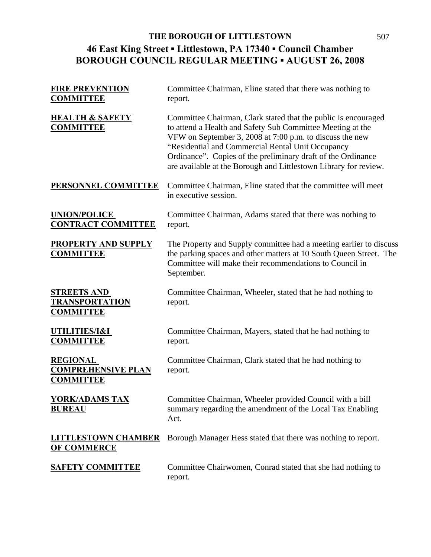# **46 East King Street ▪ Littlestown, PA 17340 ▪ Council Chamber BOROUGH COUNCIL REGULAR MEETING ▪ AUGUST 26, 2008 THE BOROUGH OF LITTLESTOWN** 507

| <b>FIRE PREVENTION</b><br><b>COMMITTEE</b>                       | Committee Chairman, Eline stated that there was nothing to<br>report.                                                                                                                                                                                                                                                                                                             |
|------------------------------------------------------------------|-----------------------------------------------------------------------------------------------------------------------------------------------------------------------------------------------------------------------------------------------------------------------------------------------------------------------------------------------------------------------------------|
| <b>HEALTH &amp; SAFETY</b><br><b>COMMITTEE</b>                   | Committee Chairman, Clark stated that the public is encouraged<br>to attend a Health and Safety Sub Committee Meeting at the<br>VFW on September 3, 2008 at 7:00 p.m. to discuss the new<br>"Residential and Commercial Rental Unit Occupancy<br>Ordinance". Copies of the preliminary draft of the Ordinance<br>are available at the Borough and Littlestown Library for review. |
| PERSONNEL COMMITTEE                                              | Committee Chairman, Eline stated that the committee will meet<br>in executive session.                                                                                                                                                                                                                                                                                            |
| <b>UNION/POLICE</b><br><b>CONTRACT COMMITTEE</b>                 | Committee Chairman, Adams stated that there was nothing to<br>report.                                                                                                                                                                                                                                                                                                             |
| <b>PROPERTY AND SUPPLY</b><br><b>COMMITTEE</b>                   | The Property and Supply committee had a meeting earlier to discuss<br>the parking spaces and other matters at 10 South Queen Street. The<br>Committee will make their recommendations to Council in<br>September.                                                                                                                                                                 |
| <b>STREETS AND</b><br><b>TRANSPORTATION</b><br><b>COMMITTEE</b>  | Committee Chairman, Wheeler, stated that he had nothing to<br>report.                                                                                                                                                                                                                                                                                                             |
| UTILITIES/I&I<br><b>COMMITTEE</b>                                | Committee Chairman, Mayers, stated that he had nothing to<br>report.                                                                                                                                                                                                                                                                                                              |
| <b>REGIONAL</b><br><b>COMPREHENSIVE PLAN</b><br><b>COMMITTEE</b> | Committee Chairman, Clark stated that he had nothing to<br>report.                                                                                                                                                                                                                                                                                                                |
| <u>YORK/ADAMS TAX</u><br><b>BUREAU</b>                           | Committee Chairman, Wheeler provided Council with a bill<br>summary regarding the amendment of the Local Tax Enabling<br>Act.                                                                                                                                                                                                                                                     |
| <u>LITTLESTOWN CHAMBER</u><br><b>OF COMMERCE</b>                 | Borough Manager Hess stated that there was nothing to report.                                                                                                                                                                                                                                                                                                                     |
| <b>SAFETY COMMITTEE</b>                                          | Committee Chairwomen, Conrad stated that she had nothing to<br>report.                                                                                                                                                                                                                                                                                                            |